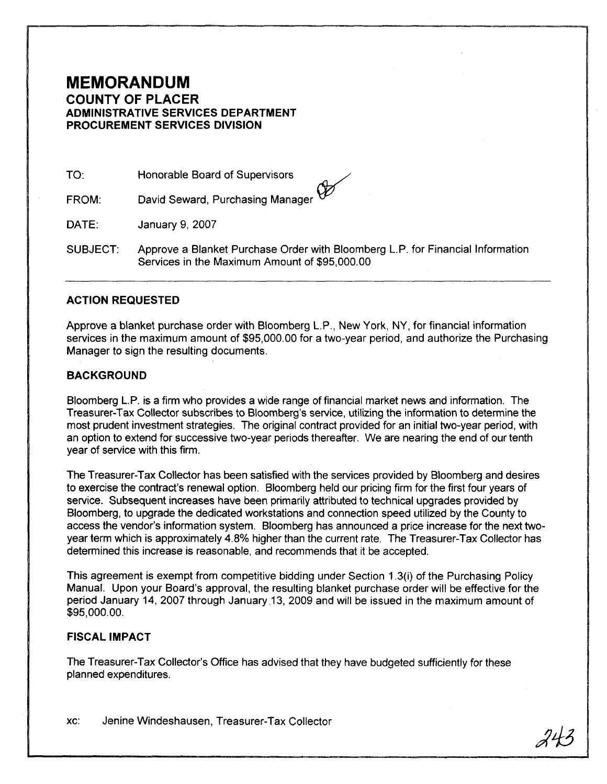## **MEMORANDUM COUNTY OF PLACER ADMINISTRATIVE SERVICES DEPARTMENT PROCUREMENT SERVICES DIVISION**

TO: Honorable Board of Supervisors

David Seward, Purchasing Manager  $\mathscr V$ FROM:

DATE: January 9, 2007

SUBJECT: Approve a Blanket Purchase Order with Bloomberg L.P. for Financial Information Services in the Maximum Amount of \$95,000.00

## **ACTION REQUESTED**

Approve a blanket purchase order with Bloomberg L.P., New York, NY, for financial information services in the maximum amount of \$95,000.00 for a two-year period, and authorize the Purchasing Manager to sign the resulting documents.

## **BACKGROUND**

Bloomberg L.P. is a firm who provides a wide range of financial market news and information. The Treasurer-Tax Collector subscribes to Bloomberg's service, utilizing the information to determine the most prudent investment strategies. The original contract provided for an initial two-year period, with an option to extend for successive two-year periods thereafter. We are nearing the end of our tenth year of service with this firm.

The Treasurer-Tax Collector has been satisfied with the services provided by Bloomberg and desires to exercise the contract's renewal option. Bloomberg held our pricing firm for the first four years of service. Subsequent increases have been primarily attributed to technical upgrades provided by Bloomberg, to upgrade the dedicated workstations and connection speed utilized by the County to access the vendor's information system. Bloomberg has announced a price increase for the next twoyear term which is approximately 4.8% higher than the current rate. The Treasurer-Tax Collector has determined this increase is reasonable, and recommends that it be accepted.

This agreement is exempt from competitive bidding under Section 1.3(i) of the Purchasing Policy Manual. Upon your Board's approval, the resulting blanket purchase order will be effective for the period January 14, 2007 through January 13, 2009 and will be issued in the maximum amount of \$95,000.00.

## **FISCAL IMPACT**

The Treasurer-Tax Collector's Office has advised that they have budgeted sufficiently for these planned expenditures.

xc: Jenine Windeshausen, Treasurer-Tax Collector